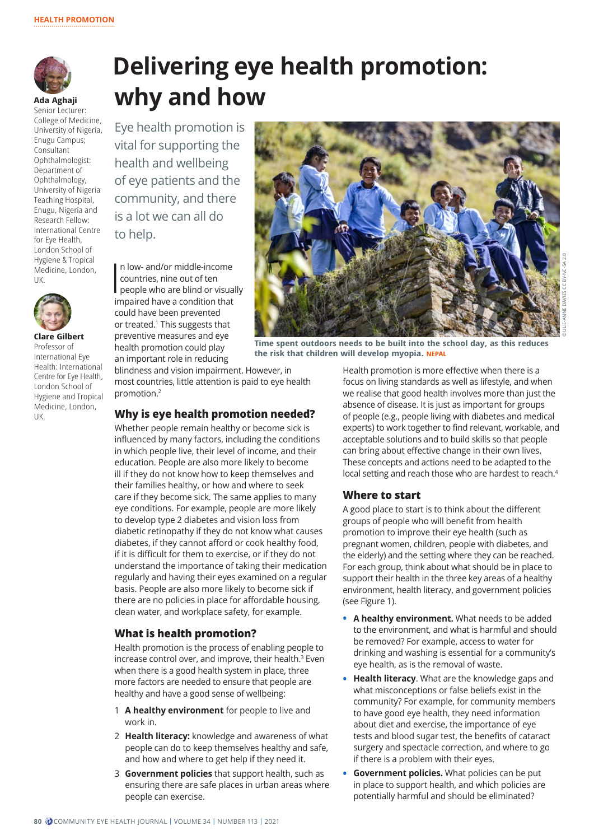

**Ada Aghaji** Senior Lecturer: College of Medicine, University of Nigeria, Enugu Campus; Consultant Ophthalmologist: Department of Ophthalmology, University of Nigeria Teaching Hospital, Enugu, Nigeria and Research Fellow: International Centre for Eye Health, London School of Hygiene & Tropical Medicine, London, UK.



**Clare Gilbert**  Professor of International Eye Health: International Centre for Eye Health, London School of Hygiene and Tropical Medicine, London, UK.

# **Delivering eye health promotion: why and how**

Eye health promotion is vital for supporting the health and wellbeing of eye patients and the community, and there is a lot we can all do to help.

 $\prod_{i=1}^n$ n low- and/or middle-income countries, nine out of ten people who are blind or visually impaired have a condition that could have been prevented or treated.<sup>1</sup> This suggests that preventive measures and eye health promotion could play an important role in reducing

blindness and vision impairment. However, in most countries, little attention is paid to eye health promotion.2

## **Why is eye health promotion needed?**

Whether people remain healthy or become sick is influenced by many factors, including the conditions in which people live, their level of income, and their education. People are also more likely to become ill if they do not know how to keep themselves and their families healthy, or how and where to seek care if they become sick. The same applies to many eye conditions. For example, people are more likely to develop type 2 diabetes and vision loss from diabetic retinopathy if they do not know what causes diabetes, if they cannot afford or cook healthy food, if it is difficult for them to exercise, or if they do not understand the importance of taking their medication regularly and having their eyes examined on a regular basis. People are also more likely to become sick if there are no policies in place for affordable housing, clean water, and workplace safety, for example.

# **What is health promotion?**

Health promotion is the process of enabling people to increase control over, and improve, their health.<sup>3</sup> Even when there is a good health system in place, three more factors are needed to ensure that people are healthy and have a good sense of wellbeing:

- 1 **A healthy environment** for people to live and work in.
- 2 **Health literacy:** knowledge and awareness of what people can do to keep themselves healthy and safe, and how and where to get help if they need it.
- 3 **Government policies** that support health, such as ensuring there are safe places in urban areas where people can exercise.



**Time spent outdoors needs to be built into the school day, as this reduces the risk that children will develop myopia. NEPAL**

Health promotion is more effective when there is a focus on living standards as well as lifestyle, and when we realise that good health involves more than just the absence of disease. It is just as important for groups of people (e.g., people living with diabetes and medical experts) to work together to find relevant, workable, and acceptable solutions and to build skills so that people can bring about effective change in their own lives. These concepts and actions need to be adapted to the local setting and reach those who are hardest to reach.4

# **Where to start**

A good place to start is to think about the different groups of people who will benefit from health promotion to improve their eye health (such as pregnant women, children, people with diabetes, and the elderly) and the setting where they can be reached. For each group, think about what should be in place to support their health in the three key areas of a healthy environment, health literacy, and government policies (see Figure 1).

- **• A healthy environment.** What needs to be added to the environment, and what is harmful and should be removed? For example, access to water for drinking and washing is essential for a community's eye health, as is the removal of waste.
- **• Health literacy**. What are the knowledge gaps and what misconceptions or false beliefs exist in the community? For example, for community members to have good eye health, they need information about diet and exercise, the importance of eye tests and blood sugar test, the benefits of cataract surgery and spectacle correction, and where to go if there is a problem with their eyes.
- **• Government policies.** What policies can be put in place to support health, and which policies are potentially harmful and should be eliminated?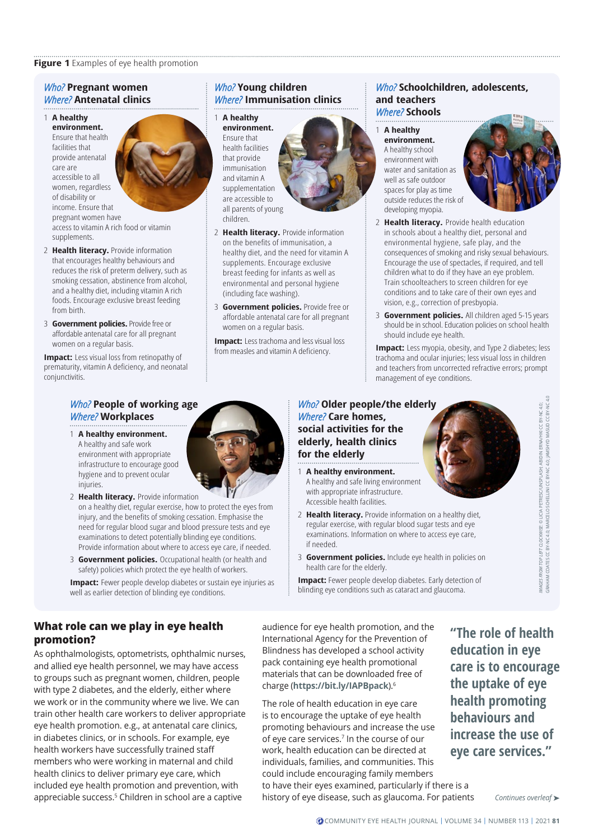#### **Figure 1** Examples of eye health promotion

### *Who?* **Pregnant women** *Where?* **Antenatal clinics**

#### 1 **A healthy environment.**

Ensure that health facilities that provide antenatal care are accessible to all women, regardless of disability or income. Ensure that pregnant women have access to vitamin A rich food or vitamin supplements.

- 2 **Health literacy.** Provide information that encourages healthy behaviours and reduces the risk of preterm delivery, such as smoking cessation, abstinence from alcohol, and a healthy diet, including vitamin A rich foods. Encourage exclusive breast feeding from birth.
- 3 **Government policies.** Provide free or affordable antenatal care for all pregnant women on a regular basis.

**Impact:** Less visual loss from retinopathy of prematurity, vitamin A deficiency, and neonatal conjunctivitis.

# *Who?* **Young children** *Where?* **Immunisation clinics**

## 1 **A healthy**

**environment.**  Ensure that health facilities that provide immunisation and vitamin A supplementation are accessible to all parents of young children.



- 2 **Health literacy.** Provide information on the benefits of immunisation, a healthy diet, and the need for vitamin A supplements. Encourage exclusive breast feeding for infants as well as environmental and personal hygiene (including face washing).
- 3 **Government policies.** Provide free or affordable antenatal care for all pregnant women on a regular basis.

**Impact:** Less trachoma and less visual loss from measles and vitamin A deficiency.

#### *Who?* **Schoolchildren, adolescents, and teachers** *Where?* **Schools**

1 **A healthy environment.** A healthy school environment with water and sanitation as well as safe outdoor spaces for play as time outside reduces the risk of developing myopia.



- 2 **Health literacy.** Provide health education in schools about a healthy diet, personal and environmental hygiene, safe play, and the consequences of smoking and risky sexual behaviours. Encourage the use of spectacles, if required, and tell children what to do if they have an eye problem. Train schoolteachers to screen children for eye conditions and to take care of their own eyes and vision, e.g., correction of presbyopia.
- 3 **Government policies.** All children aged 5-15 years should be in school. Education policies on school health should include eye health.

**Impact:** Less myopia, obesity, and Type 2 diabetes; less trachoma and ocular injuries; less visual loss in children and teachers from uncorrected refractive errors; prompt management of eye conditions.

# *Who?* **People of working age** *Where?* **Workplaces**

- 1 **A healthy environment.** A healthy and safe work environment with appropriate infrastructure to encourage good hygiene and to prevent ocular injuries.
- 2 **Health literacy.** Provide information on a healthy diet, regular exercise, how to protect the eyes from injury, and the benefits of smoking cessation. Emphasise the need for regular blood sugar and blood pressure tests and eye examinations to detect potentially blinding eye conditions. Provide information about where to access eye care, if needed.
- 3 **Government policies.** Occupational health (or health and safety) policies which protect the eye health of workers.
- **Impact:** Fewer people develop diabetes or sustain eye injuries as well as earlier detection of blinding eye conditions.

*Who?* **Older people/the elderly** *Where?* **Care homes, social activities for the elderly, health clinics for the elderly**

- 1 **A healthy environment.** A healthy and safe living environment with appropriate infrastructure. Accessible health facilities.
- 2 **Health literacy.** Provide information on a healthy diet, regular exercise, with regular blood sugar tests and eye examinations. Information on where to access eye care, if needed.
- 3 **Government policies.** Include eye health in policies on health care for the elderly.

**Impact:** Fewer people develop diabetes. Early detection of blinding eye conditions such as cataract and glaucoma.

**What role can we play in eye health promotion?**

As ophthalmologists, optometrists, ophthalmic nurses, and allied eye health personnel, we may have access to groups such as pregnant women, children, people with type 2 diabetes, and the elderly, either where we work or in the community where we live. We can train other health care workers to deliver appropriate eye health promotion. e.g., at antenatal care clinics, in diabetes clinics, or in schools. For example, eye health workers have successfully trained staff members who were working in maternal and child health clinics to deliver primary eye care, which included eye health promotion and prevention, with appreciable success.5 Children in school are a captive

audience for eye health promotion, and the International Agency for the Prevention of Blindness has developed a school activity pack containing eye health promotional materials that can be downloaded free of charge (**<https://bit.ly/IAPBpack>**).6

The role of health education in eye care is to encourage the uptake of eye health promoting behaviours and increase the use of eye care services.7 In the course of our work, health education can be directed at individuals, families, and communities. This could include encouraging family members to have their eyes examined, particularly if there is a history of eye disease, such as glaucoma. For patients

**"The role of health education in eye care is to encourage the uptake of eye health promoting behaviours and increase the use of eye care services."**

*Continues overleaf* ➤





*IMAGES FROM TOP LEFT CLOCKWISE*: © LICIA PETRESC/UNSPLASH; ABIDIN ERNA/HKI [CC BY-NC 4.0](https://creativecommons.org/licenses/by-nc/4.0/); GRAHAM COATES [CC BY-NC 4.0;](https://creativecommons.org/licenses/by-nc/4.0/) MARCELO SCHELLINI [CC BY-NC 4.0;](https://creativecommons.org/licenses/by-nc/4.0/) JAMSHYD MASUD [CC BY-NC 4.0](https://creativecommons.org/licenses/by-nc/4.0/)

IMMGES<sub>F</sub>

GES FROM TOP LEFT CLOCKWISE: © LICIA PETRESC/UNSPLASH; ABIDIN ERNA/HKI CC BY-NC 4.0;<br>HANN COATES CC BY-NC 4.0; MARCELO SCHELLINI CC BY-NC 4.0; JAMSHYD MASUD CC BY-NC 4.